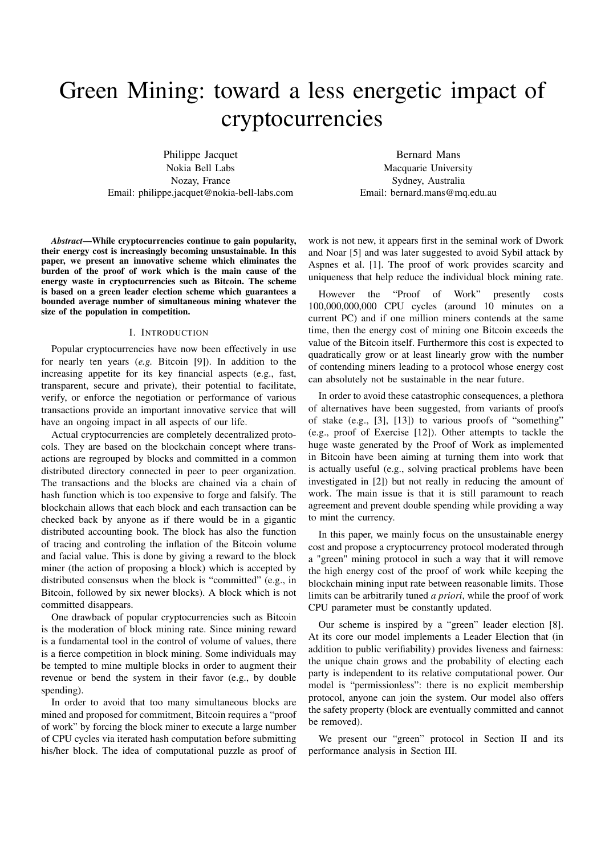# Green Mining: toward a less energetic impact of cryptocurrencies

Philippe Jacquet Nokia Bell Labs Nozay, France Email: philippe.jacquet@nokia-bell-labs.com

Bernard Mans Macquarie University Sydney, Australia Email: bernard.mans@mq.edu.au

*Abstract*—While cryptocurrencies continue to gain popularity, their energy cost is increasingly becoming unsustainable. In this paper, we present an innovative scheme which eliminates the burden of the proof of work which is the main cause of the energy waste in cryptocurrencies such as Bitcoin. The scheme is based on a green leader election scheme which guarantees a bounded average number of simultaneous mining whatever the size of the population in competition.

#### I. INTRODUCTION

Popular cryptocurrencies have now been effectively in use for nearly ten years (*e.g.* Bitcoin [9]). In addition to the increasing appetite for its key financial aspects (e.g., fast, transparent, secure and private), their potential to facilitate, verify, or enforce the negotiation or performance of various transactions provide an important innovative service that will have an ongoing impact in all aspects of our life.

Actual cryptocurrencies are completely decentralized protocols. They are based on the blockchain concept where transactions are regrouped by blocks and committed in a common distributed directory connected in peer to peer organization. The transactions and the blocks are chained via a chain of hash function which is too expensive to forge and falsify. The blockchain allows that each block and each transaction can be checked back by anyone as if there would be in a gigantic distributed accounting book. The block has also the function of tracing and controling the inflation of the Bitcoin volume and facial value. This is done by giving a reward to the block miner (the action of proposing a block) which is accepted by distributed consensus when the block is "committed" (e.g., in Bitcoin, followed by six newer blocks). A block which is not committed disappears.

One drawback of popular cryptocurrencies such as Bitcoin is the moderation of block mining rate. Since mining reward is a fundamental tool in the control of volume of values, there is a fierce competition in block mining. Some individuals may be tempted to mine multiple blocks in order to augment their revenue or bend the system in their favor (e.g., by double spending).

In order to avoid that too many simultaneous blocks are mined and proposed for commitment, Bitcoin requires a "proof of work" by forcing the block miner to execute a large number of CPU cycles via iterated hash computation before submitting his/her block. The idea of computational puzzle as proof of

work is not new, it appears first in the seminal work of Dwork and Noar [5] and was later suggested to avoid Sybil attack by Aspnes et al. [1]. The proof of work provides scarcity and uniqueness that help reduce the individual block mining rate.

However the "Proof of Work" presently costs 100,000,000,000 CPU cycles (around 10 minutes on a current PC) and if one million miners contends at the same time, then the energy cost of mining one Bitcoin exceeds the value of the Bitcoin itself. Furthermore this cost is expected to quadratically grow or at least linearly grow with the number of contending miners leading to a protocol whose energy cost can absolutely not be sustainable in the near future.

In order to avoid these catastrophic consequences, a plethora of alternatives have been suggested, from variants of proofs of stake (e.g., [3], [13]) to various proofs of "something" (e.g., proof of Exercise [12]). Other attempts to tackle the huge waste generated by the Proof of Work as implemented in Bitcoin have been aiming at turning them into work that is actually useful (e.g., solving practical problems have been investigated in [2]) but not really in reducing the amount of work. The main issue is that it is still paramount to reach agreement and prevent double spending while providing a way to mint the currency.

In this paper, we mainly focus on the unsustainable energy cost and propose a cryptocurrency protocol moderated through a "green" mining protocol in such a way that it will remove the high energy cost of the proof of work while keeping the blockchain mining input rate between reasonable limits. Those limits can be arbitrarily tuned *a priori*, while the proof of work CPU parameter must be constantly updated.

Our scheme is inspired by a "green" leader election [8]. At its core our model implements a Leader Election that (in addition to public verifiability) provides liveness and fairness: the unique chain grows and the probability of electing each party is independent to its relative computational power. Our model is "permissionless": there is no explicit membership protocol, anyone can join the system. Our model also offers the safety property (block are eventually committed and cannot be removed).

We present our "green" protocol in Section II and its performance analysis in Section III.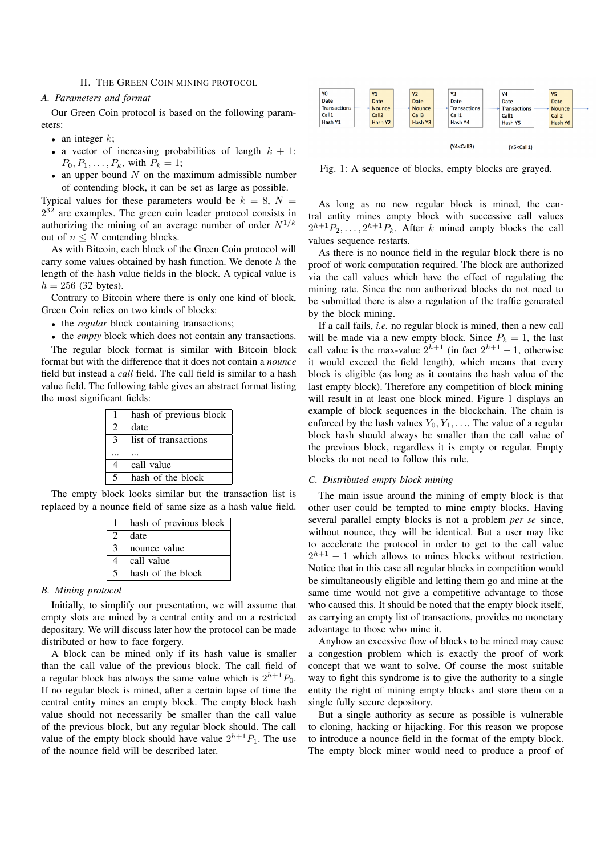## II. THE GREEN COIN MINING PROTOCOL

## *A. Parameters and format*

Our Green Coin protocol is based on the following parameters:

- an integer  $k$ ;
- a vector of increasing probabilities of length  $k + 1$ :  $P_0, P_1, \ldots, P_k$ , with  $P_k = 1$ ;
- an upper bound  $N$  on the maximum admissible number of contending block, it can be set as large as possible.

Typical values for these parameters would be  $k = 8$ ,  $N =$  $2^{32}$  are examples. The green coin leader protocol consists in authorizing the mining of an average number of order  $N^{1/k}$ out of  $n \leq N$  contending blocks.

As with Bitcoin, each block of the Green Coin protocol will carry some values obtained by hash function. We denote  $h$  the length of the hash value fields in the block. A typical value is  $h = 256$  (32 bytes).

Contrary to Bitcoin where there is only one kind of block, Green Coin relies on two kinds of blocks:

• the *regular* block containing transactions;

• the *empty* block which does not contain any transactions.

The regular block format is similar with Bitcoin block format but with the difference that it does not contain a *nounce* field but instead a *call* field. The call field is similar to a hash value field. The following table gives an abstract format listing the most significant fields:

|   | hash of previous block |
|---|------------------------|
| 2 | date                   |
| 3 | list of transactions   |
|   |                        |
|   | call value             |
| 5 | hash of the block      |

The empty block looks similar but the transaction list is replaced by a nounce field of same size as a hash value field.

|   | hash of previous block |
|---|------------------------|
|   | date                   |
| 3 | nounce value           |
| 4 | call value             |
| 5 | hash of the block      |

# *B. Mining protocol*

Initially, to simplify our presentation, we will assume that empty slots are mined by a central entity and on a restricted depositary. We will discuss later how the protocol can be made distributed or how to face forgery.

A block can be mined only if its hash value is smaller than the call value of the previous block. The call field of a regular block has always the same value which is  $2^{h+1}P_0$ . If no regular block is mined, after a certain lapse of time the central entity mines an empty block. The empty block hash value should not necessarily be smaller than the call value of the previous block, but any regular block should. The call value of the empty block should have value  $2^{h+1}P_1$ . The use of the nounce field will be described later.



Fig. 1: A sequence of blocks, empty blocks are grayed.

As long as no new regular block is mined, the central entity mines empty block with successive call values  $2^{h+1}P_2, \ldots, 2^{h+1}P_k$ . After k mined empty blocks the call values sequence restarts.

As there is no nounce field in the regular block there is no proof of work computation required. The block are authorized via the call values which have the effect of regulating the mining rate. Since the non authorized blocks do not need to be submitted there is also a regulation of the traffic generated by the block mining.

If a call fails, *i.e.* no regular block is mined, then a new call will be made via a new empty block. Since  $P_k = 1$ , the last call value is the max-value  $2^{h+1}$  (in fact  $2^{h+1} - 1$ , otherwise it would exceed the field length), which means that every block is eligible (as long as it contains the hash value of the last empty block). Therefore any competition of block mining will result in at least one block mined. Figure 1 displays an example of block sequences in the blockchain. The chain is enforced by the hash values  $Y_0, Y_1, \ldots$  The value of a regular block hash should always be smaller than the call value of the previous block, regardless it is empty or regular. Empty blocks do not need to follow this rule.

## *C. Distributed empty block mining*

The main issue around the mining of empty block is that other user could be tempted to mine empty blocks. Having several parallel empty blocks is not a problem *per se* since, without nounce, they will be identical. But a user may like to accelerate the protocol in order to get to the call value  $2^{h+1} - 1$  which allows to mines blocks without restriction. Notice that in this case all regular blocks in competition would be simultaneously eligible and letting them go and mine at the same time would not give a competitive advantage to those who caused this. It should be noted that the empty block itself, as carrying an empty list of transactions, provides no monetary advantage to those who mine it.

Anyhow an excessive flow of blocks to be mined may cause a congestion problem which is exactly the proof of work concept that we want to solve. Of course the most suitable way to fight this syndrome is to give the authority to a single entity the right of mining empty blocks and store them on a single fully secure depository.

But a single authority as secure as possible is vulnerable to cloning, hacking or hijacking. For this reason we propose to introduce a nounce field in the format of the empty block. The empty block miner would need to produce a proof of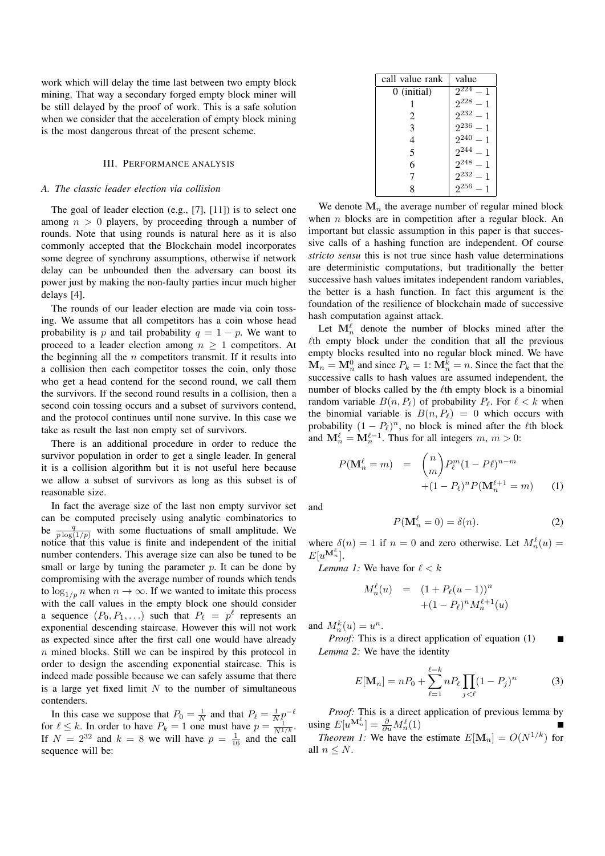work which will delay the time last between two empty block mining. That way a secondary forged empty block miner will be still delayed by the proof of work. This is a safe solution when we consider that the acceleration of empty block mining is the most dangerous threat of the present scheme.

# III. PERFORMANCE ANALYSIS

## *A. The classic leader election via collision*

The goal of leader election (e.g., [7], [11]) is to select one among  $n > 0$  players, by proceeding through a number of rounds. Note that using rounds is natural here as it is also commonly accepted that the Blockchain model incorporates some degree of synchrony assumptions, otherwise if network delay can be unbounded then the adversary can boost its power just by making the non-faulty parties incur much higher delays [4].

The rounds of our leader election are made via coin tossing. We assume that all competitors has a coin whose head probability is p and tail probability  $q = 1 - p$ . We want to proceed to a leader election among  $n \geq 1$  competitors. At the beginning all the  $n$  competitors transmit. If it results into a collision then each competitor tosses the coin, only those who get a head contend for the second round, we call them the survivors. If the second round results in a collision, then a second coin tossing occurs and a subset of survivors contend, and the protocol continues until none survive. In this case we take as result the last non empty set of survivors.

There is an additional procedure in order to reduce the survivor population in order to get a single leader. In general it is a collision algorithm but it is not useful here because we allow a subset of survivors as long as this subset is of reasonable size.

In fact the average size of the last non empty survivor set can be computed precisely using analytic combinatorics to be  $\frac{q}{p \log(1/p)}$  with some fluctuations of small amplitude. We notice that this value is finite and independent of the initial number contenders. This average size can also be tuned to be small or large by tuning the parameter  $p$ . It can be done by compromising with the average number of rounds which tends to  $\log_{1/p} n$  when  $n \to \infty$ . If we wanted to imitate this process with the call values in the empty block one should consider a sequence  $(P_0, P_1, \ldots)$  such that  $P_\ell = p^\ell$  represents an exponential descending staircase. However this will not work as expected since after the first call one would have already n mined blocks. Still we can be inspired by this protocol in order to design the ascending exponential staircase. This is indeed made possible because we can safely assume that there is a large yet fixed limit  $N$  to the number of simultaneous contenders.

In this case we suppose that  $P_0 = \frac{1}{N}$  and that  $P_\ell = \frac{1}{N} p^{-\ell}$ for  $\ell \leq k$ . In order to have  $P_k = 1$  one must have  $p = \frac{1}{N^{1/k}}$ . If  $N = 2^{32}$  and  $k = 8$  we will have  $p = \frac{1}{16}$  and the call sequence will be:

| call value rank | value         |
|-----------------|---------------|
| 0 (initial)     | $2^{224} - 1$ |
|                 | $2^{228} - 1$ |
| 2               | $2^{232} - 1$ |
| 3               | $2^{236} - 1$ |
| 4               | $2^{240} - 1$ |
| 5               | $2^{244} - 1$ |
| 6               | $2^{248} - 1$ |
| 7               | $2^{232} - 1$ |
|                 | $2^{256} - 1$ |

We denote  $M_n$  the average number of regular mined block when  $n$  blocks are in competition after a regular block. An important but classic assumption in this paper is that successive calls of a hashing function are independent. Of course *stricto sensu* this is not true since hash value determinations are deterministic computations, but traditionally the better successive hash values imitates independent random variables, the better is a hash function. In fact this argument is the foundation of the resilience of blockchain made of successive hash computation against attack.

Let  $\mathbf{M}_n^{\ell}$  denote the number of blocks mined after the  $\ell$ th empty block under the condition that all the previous empty blocks resulted into no regular block mined. We have  $\mathbf{M}_n = \mathbf{M}_n^0$  and since  $P_k = 1$ :  $\mathbf{M}_n^k = n$ . Since the fact that the successive calls to hash values are assumed independent, the number of blocks called by the  $\ell$ th empty block is a binomial random variable  $B(n, P_\ell)$  of probability  $P_\ell$ . For  $\ell < k$  when the binomial variable is  $B(n, P_\ell) = 0$  which occurs with probability  $(1 - P_\ell)^n$ , no block is mined after the  $\ell$ th block and  $\mathbf{M}_n^{\ell} = \mathbf{M}_n^{\ell-1}$ . Thus for all integers  $m, m > 0$ :

$$
P(\mathbf{M}_n^{\ell} = m) = {n \choose m} P_{\ell}^m (1 - P_{\ell})^{n-m}
$$
  
 
$$
+ (1 - P_{\ell})^n P(\mathbf{M}_n^{\ell+1} = m)
$$
 (1)

and

$$
P(\mathbf{M}_n^{\ell} = 0) = \delta(n). \tag{2}
$$

where  $\delta(n) = 1$  if  $n = 0$  and zero otherwise. Let  $M_n^{\ell}(u) =$  $E[u^{\mathbf{M}_n^{\ell}}].$ 

*Lemma 1:* We have for  $\ell < k$ 

$$
M_n^{\ell}(u) = (1 + P_{\ell}(u-1))^n
$$
  
 
$$
+ (1 - P_{\ell})^n M_n^{\ell+1}(u)
$$

and  $M_n^k(u) = u^n$ .

*Proof:* This is a direct application of equation (1)  $\blacksquare$ *Lemma 2:* We have the identity

$$
E[\mathbf{M}_n] = nP_0 + \sum_{\ell=1}^{\ell=k} nP_\ell \prod_{j < \ell} (1 - P_j)^n \tag{3}
$$

*Proof:* This is a direct application of previous lemma by using  $E[u^{\mathbf{M}_n^{\ell}}] = \frac{\partial}{\partial u} M_n^{\ell}(1)$ 

*Theorem 1:* We have the estimate  $E[\mathbf{M}_n] = O(N^{1/k})$  for all  $n \leq N$ .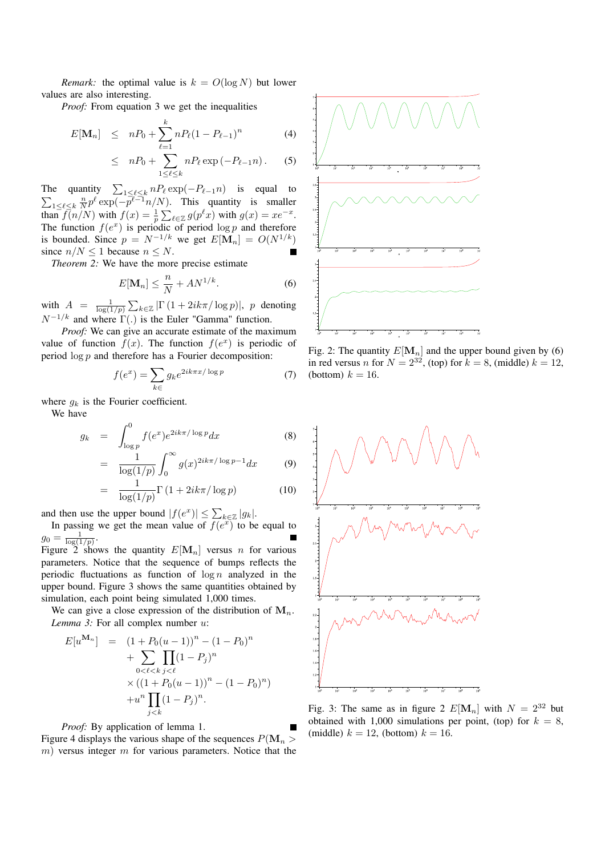*Remark:* the optimal value is  $k = O(\log N)$  but lower values are also interesting.

*Proof:* From equation 3 we get the inequalities

$$
E[\mathbf{M}_n] \leq nP_0 + \sum_{\ell=1}^k n P_\ell (1 - P_{\ell-1})^n \tag{4}
$$

$$
\leq nP_0 + \sum_{1 \leq \ell \leq k} nP_\ell \exp(-P_{\ell-1}n). \qquad (5)
$$

The quantity  $\sum_{1 \leq \ell \leq k} n P_{\ell} \exp(-P_{\ell-1}n)$  is equal to  $\sum_{1 \leq \ell \leq k} \frac{n}{N} p^{\ell} \exp(-p^{\ell-1}n/N)$ . This quantity is smaller than  $\bar{f}(n/N)$  with  $f(x) = \frac{1}{p} \sum_{\ell \in \mathbb{Z}} g(p^{\ell} x)$  with  $g(x) = x e^{-x}$ . The function  $f(e^x)$  is periodic of period  $\log p$  and therefore is bounded. Since  $p = N^{-1/k}$  we get  $E[\mathbf{M}_n] = O(N^{1/k})$ since  $n/N \leq 1$  because  $n \leq N$ .

*Theorem 2:* We have the more precise estimate

$$
E[\mathbf{M}_n] \le \frac{n}{N} + AN^{1/k}.\tag{6}
$$

with  $A = \frac{1}{\log(1/p)} \sum_{k \in \mathbb{Z}} |\Gamma(1 + 2ik\pi/\log p)|$ , p denoting  $N^{-1/k}$  and where  $\Gamma(.)$  is the Euler "Gamma" function.

*Proof:* We can give an accurate estimate of the maximum value of function  $f(x)$ . The function  $f(e^x)$  is periodic of period  $\log p$  and therefore has a Fourier decomposition:

$$
f(e^x) = \sum_{k \in} g_k e^{2ik\pi x/\log p} \tag{7}
$$

where  $q_k$  is the Fourier coefficient.

We have

$$
g_k = \int_{\log p}^{0} f(e^x) e^{2ik\pi/\log p} dx \tag{8}
$$

$$
= \frac{1}{\log(1/p)} \int_0^\infty g(x)^{2ik\pi/\log p - 1} dx \tag{9}
$$

$$
= \frac{1}{\log(1/p)} \Gamma\left(1 + 2ik\pi/\log p\right) \tag{10}
$$

and then use the upper bound  $|f(e^x)| \leq \sum_{k \in \mathbb{Z}} |g_k|$ .

In passing we get the mean value of  $f(e^{x})$  to be equal to  $g_0 = \frac{1}{\log(1/p)}$ .

Figure 2 shows the quantity  $E[\mathbf{M}_n]$  versus *n* for various parameters. Notice that the sequence of bumps reflects the periodic fluctuations as function of  $\log n$  analyzed in the upper bound. Figure 3 shows the same quantities obtained by simulation, each point being simulated 1,000 times.

We can give a close expression of the distribution of  $M_n$ . *Lemma 3:* For all complex number u:

$$
E[u^{\mathbf{M}_n}] = (1 + P_0(u - 1))^n - (1 - P_0)^n
$$
  
+ 
$$
\sum_{0 < \ell < k} \prod_{j < \ell} (1 - P_j)^n
$$
  
× 
$$
((1 + P_0(u - 1))^n - (1 - P_0)^n)
$$
  
+ 
$$
u^n \prod_{j < k} (1 - P_j)^n.
$$

*Proof:* By application of lemma 1. Figure 4 displays the various shape of the sequences  $P(\mathbf{M}_n >$  $m$ ) versus integer  $m$  for various parameters. Notice that the



Fig. 2: The quantity  $E[\mathbf{M}_n]$  and the upper bound given by (6) in red versus n for  $N = 2^{32}$ , (top) for  $k = 8$ , (middle)  $k = 12$ , (bottom)  $k = 16$ .



Fig. 3: The same as in figure 2  $E[\mathbf{M}_n]$  with  $N = 2^{32}$  but obtained with 1,000 simulations per point, (top) for  $k = 8$ , (middle)  $k = 12$ , (bottom)  $k = 16$ .